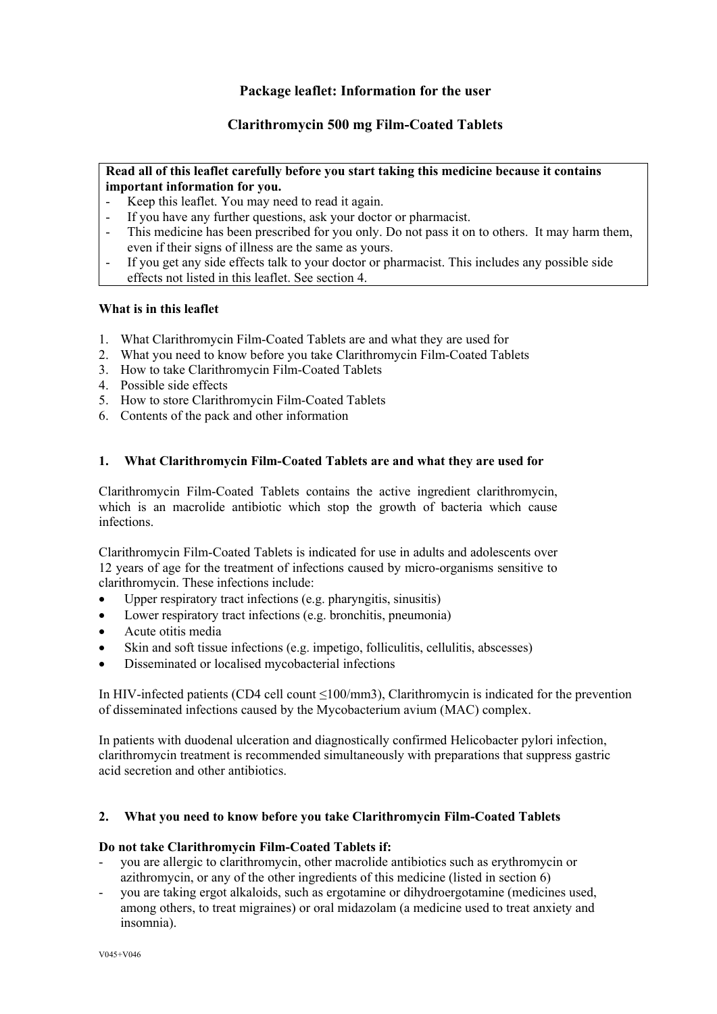# **Package leaflet: Information for the user**

# **Clarithromycin 500 mg Film-Coated Tablets**

## **Read all of this leaflet carefully before you start taking this medicine because it contains important information for you.**

- Keep this leaflet. You may need to read it again.
- If you have any further questions, ask your doctor or pharmacist.
- This medicine has been prescribed for you only. Do not pass it on to others. It may harm them, even if their signs of illness are the same as yours.
- If you get any side effects talk to your doctor or pharmacist. This includes any possible side effects not listed in this leaflet. See section 4.

## **What is in this leaflet**

- 1. What Clarithromycin Film-Coated Tablets are and what they are used for
- 2. What you need to know before you take Clarithromycin Film-Coated Tablets
- 3. How to take Clarithromycin Film-Coated Tablets
- 4. Possible side effects
- 5. How to store Clarithromycin Film-Coated Tablets
- 6. Contents of the pack and other information

## **1. What Clarithromycin Film-Coated Tablets are and what they are used for**

Clarithromycin Film-Coated Tablets contains the active ingredient clarithromycin, which is an macrolide antibiotic which stop the growth of bacteria which cause infections.

Clarithromycin Film-Coated Tablets is indicated for use in adults and adolescents over 12 years of age for the treatment of infections caused by micro-organisms sensitive to clarithromycin. These infections include:

- Upper respiratory tract infections (e.g. pharyngitis, sinusitis)
- Lower respiratory tract infections (e.g. bronchitis, pneumonia)
- Acute otitis media
- Skin and soft tissue infections (e.g. impetigo, folliculitis, cellulitis, abscesses)
- Disseminated or localised mycobacterial infections

In HIV-infected patients (CD4 cell count ≤100/mm3), Clarithromycin is indicated for the prevention of disseminated infections caused by the Mycobacterium avium (MAC) complex.

In patients with duodenal ulceration and diagnostically confirmed Helicobacter pylori infection, clarithromycin treatment is recommended simultaneously with preparations that suppress gastric acid secretion and other antibiotics.

## **2. What you need to know before you take Clarithromycin Film-Coated Tablets**

## **Do not take Clarithromycin Film-Coated Tablets if:**

- you are allergic to clarithromycin, other macrolide antibiotics such as erythromycin or azithromycin, or any of the other ingredients of this medicine (listed in section 6)
- you are taking ergot alkaloids, such as ergotamine or dihydroergotamine (medicines used, among others, to treat migraines) or oral midazolam (a medicine used to treat anxiety and insomnia).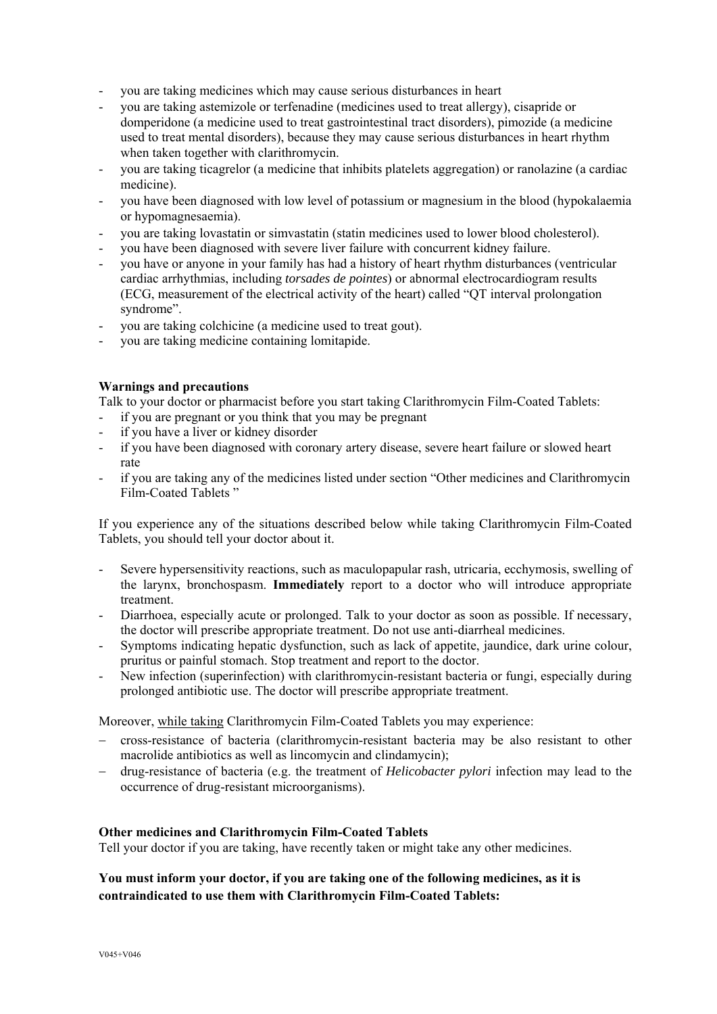- you are taking medicines which may cause serious disturbances in heart
- you are taking astemizole or terfenadine (medicines used to treat allergy), cisapride or domperidone (a medicine used to treat gastrointestinal tract disorders), pimozide (a medicine used to treat mental disorders), because they may cause serious disturbances in heart rhythm when taken together with clarithromycin.
- you are taking ticagrelor (a medicine that inhibits platelets aggregation) or ranolazine (a cardiac medicine).
- you have been diagnosed with low level of potassium or magnesium in the blood (hypokalaemia or hypomagnesaemia).
- you are taking lovastatin or simvastatin (statin medicines used to lower blood cholesterol).
- you have been diagnosed with severe liver failure with concurrent kidney failure.
- you have or anyone in your family has had a history of heart rhythm disturbances (ventricular cardiac arrhythmias, including *torsades de pointes*) or abnormal electrocardiogram results (ECG, measurement of the electrical activity of the heart) called "QT interval prolongation syndrome".
- you are taking colchicine (a medicine used to treat gout).
- you are taking medicine containing lomitapide.

## **Warnings and precautions**

Talk to your doctor or pharmacist before you start taking Clarithromycin Film-Coated Tablets:

- if you are pregnant or you think that you may be pregnant
- if you have a liver or kidney disorder
- if you have been diagnosed with coronary artery disease, severe heart failure or slowed heart rate
- if you are taking any of the medicines listed under section "Other medicines and Clarithromycin Film-Coated Tablets "

If you experience any of the situations described below while taking Clarithromycin Film-Coated Tablets, you should tell your doctor about it.

- Severe hypersensitivity reactions, such as maculopapular rash, utricaria, ecchymosis, swelling of the larynx, bronchospasm. **Immediately** report to a doctor who will introduce appropriate treatment.
- Diarrhoea, especially acute or prolonged. Talk to your doctor as soon as possible. If necessary, the doctor will prescribe appropriate treatment. Do not use anti-diarrheal medicines.
- Symptoms indicating hepatic dysfunction, such as lack of appetite, jaundice, dark urine colour, pruritus or painful stomach. Stop treatment and report to the doctor.
- New infection (superinfection) with clarithromycin-resistant bacteria or fungi, especially during prolonged antibiotic use. The doctor will prescribe appropriate treatment.

Moreover, while taking Clarithromycin Film-Coated Tablets you may experience:

- cross-resistance of bacteria (clarithromycin-resistant bacteria may be also resistant to other macrolide antibiotics as well as lincomycin and clindamycin);
- drug-resistance of bacteria (e.g. the treatment of *Helicobacter pylori* infection may lead to the occurrence of drug-resistant microorganisms).

## **Other medicines and Clarithromycin Film-Coated Tablets**

Tell your doctor if you are taking, have recently taken or might take any other medicines.

# **You must inform your doctor, if you are taking one of the following medicines, as it is contraindicated to use them with Clarithromycin Film-Coated Tablets:**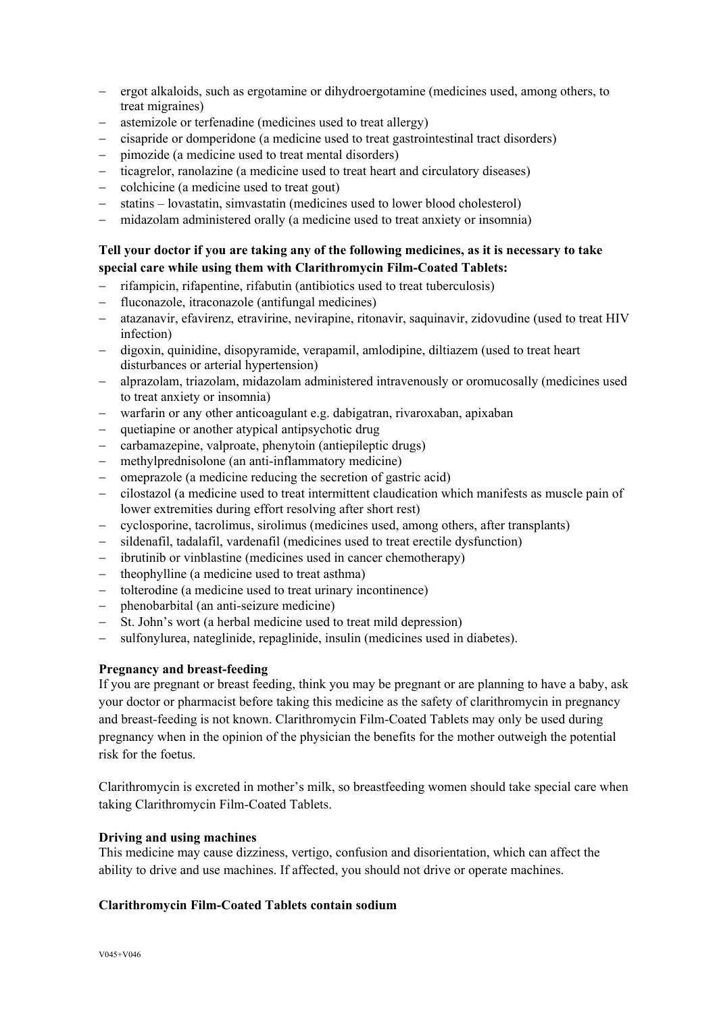- ergot alkaloids, such as ergotamine or dihydroergotamine (medicines used, among others, to treat migraines)
- astemizole or terfenadine (medicines used to treat allergy)
- cisapride or domperidone (a medicine used to treat gastrointestinal tract disorders)
- pimozide (a medicine used to treat mental disorders)
- ticagrelor, ranolazine (a medicine used to treat heart and circulatory diseases)
- colchicine (a medicine used to treat gout)
- statins lovastatin, simvastatin (medicines used to lower blood cholesterol)
- midazolam administered orally (a medicine used to treat anxiety or insomnia)

# **Tell your doctor if you are taking any of the following medicines, as it is necessary to take special care while using them with Clarithromycin Film-Coated Tablets:**

- rifampicin, rifapentine, rifabutin (antibiotics used to treat tuberculosis)
- fluconazole, itraconazole (antifungal medicines)
- atazanavir, efavirenz, etravirine, nevirapine, ritonavir, saquinavir, zidovudine (used to treat HIV infection)
- digoxin, quinidine, disopyramide, verapamil, amlodipine, diltiazem (used to treat heart disturbances or arterial hypertension)
- alprazolam, triazolam, midazolam administered intravenously or oromucosally (medicines used to treat anxiety or insomnia)
- warfarin or any other anticoagulant e.g. dabigatran, rivaroxaban, apixaban
- quetiapine or another atypical antipsychotic drug
- carbamazepine, valproate, phenytoin (antiepileptic drugs)
- methylprednisolone (an anti-inflammatory medicine)
- omeprazole (a medicine reducing the secretion of gastric acid)
- cilostazol (a medicine used to treat intermittent claudication which manifests as muscle pain of lower extremities during effort resolving after short rest)
- cyclosporine, tacrolimus, sirolimus (medicines used, among others, after transplants)
- sildenafil, tadalafil, vardenafil (medicines used to treat erectile dysfunction)
- ibrutinib or vinblastine (medicines used in cancer chemotherapy)
- theophylline (a medicine used to treat asthma)
- tolterodine (a medicine used to treat urinary incontinence)
- phenobarbital (an anti-seizure medicine)
- St. John's wort (a herbal medicine used to treat mild depression)
- sulfonylurea, nateglinide, repaglinide, insulin (medicines used in diabetes).

## **Pregnancy and breast-feeding**

If you are pregnant or breast feeding, think you may be pregnant or are planning to have a baby, ask your doctor or pharmacist before taking this medicine as the safety of clarithromycin in pregnancy and breast-feeding is not known. Clarithromycin Film-Coated Tablets may only be used during pregnancy when in the opinion of the physician the benefits for the mother outweigh the potential risk for the foetus.

Clarithromycin is excreted in mother's milk, so breastfeeding women should take special care when taking Clarithromycin Film-Coated Tablets.

## **Driving and using machines**

This medicine may cause dizziness, vertigo, confusion and disorientation, which can affect the ability to drive and use machines. If affected, you should not drive or operate machines.

## **Clarithromycin Film-Coated Tablets contain sodium**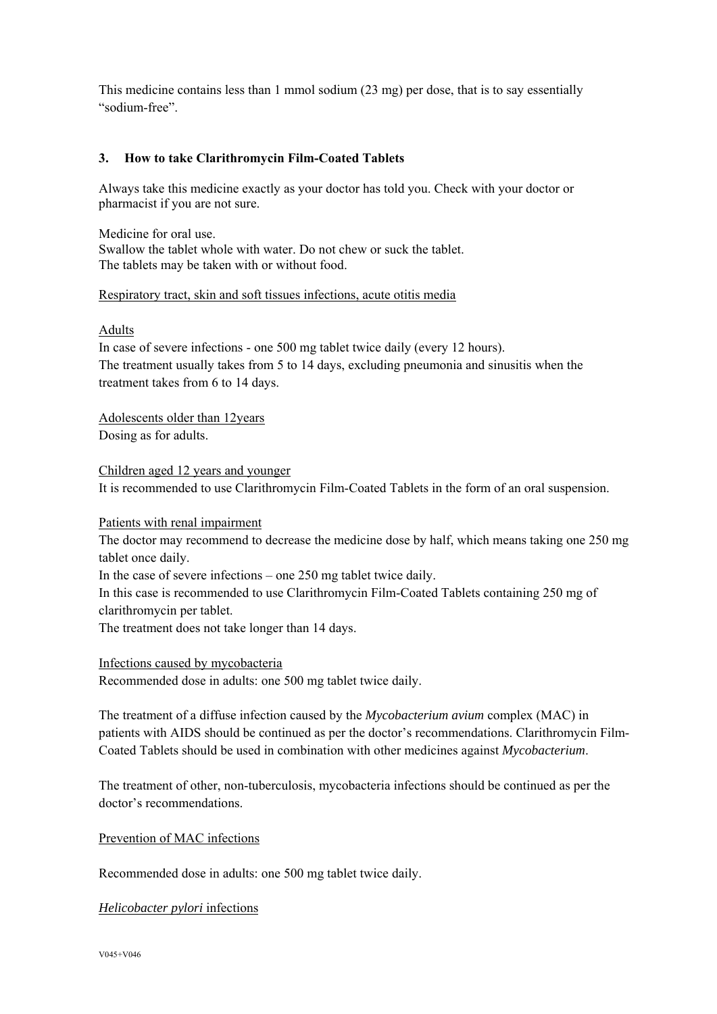This medicine contains less than 1 mmol sodium (23 mg) per dose, that is to say essentially "sodium-free".

## **3. How to take Clarithromycin Film-Coated Tablets**

Always take this medicine exactly as your doctor has told you. Check with your doctor or pharmacist if you are not sure.

Medicine for oral use. Swallow the tablet whole with water. Do not chew or suck the tablet. The tablets may be taken with or without food.

#### Respiratory tract, skin and soft tissues infections, acute otitis media

#### Adults

In case of severe infections - one 500 mg tablet twice daily (every 12 hours). The treatment usually takes from 5 to 14 days, excluding pneumonia and sinusitis when the treatment takes from 6 to 14 days.

Adolescents older than 12years Dosing as for adults.

Children aged 12 years and younger It is recommended to use Clarithromycin Film-Coated Tablets in the form of an oral suspension.

Patients with renal impairment

The doctor may recommend to decrease the medicine dose by half, which means taking one 250 mg tablet once daily.

In the case of severe infections – one 250 mg tablet twice daily.

In this case is recommended to use Clarithromycin Film-Coated Tablets containing 250 mg of clarithromycin per tablet.

The treatment does not take longer than 14 days.

Infections caused by mycobacteria

Recommended dose in adults: one 500 mg tablet twice daily.

The treatment of a diffuse infection caused by the *Mycobacterium avium* complex (MAC) in patients with AIDS should be continued as per the doctor's recommendations. Clarithromycin Film-Coated Tablets should be used in combination with other medicines against *Mycobacterium*.

The treatment of other, non-tuberculosis, mycobacteria infections should be continued as per the doctor's recommendations.

Prevention of MAC infections

Recommended dose in adults: one 500 mg tablet twice daily.

*Helicobacter pylori* infections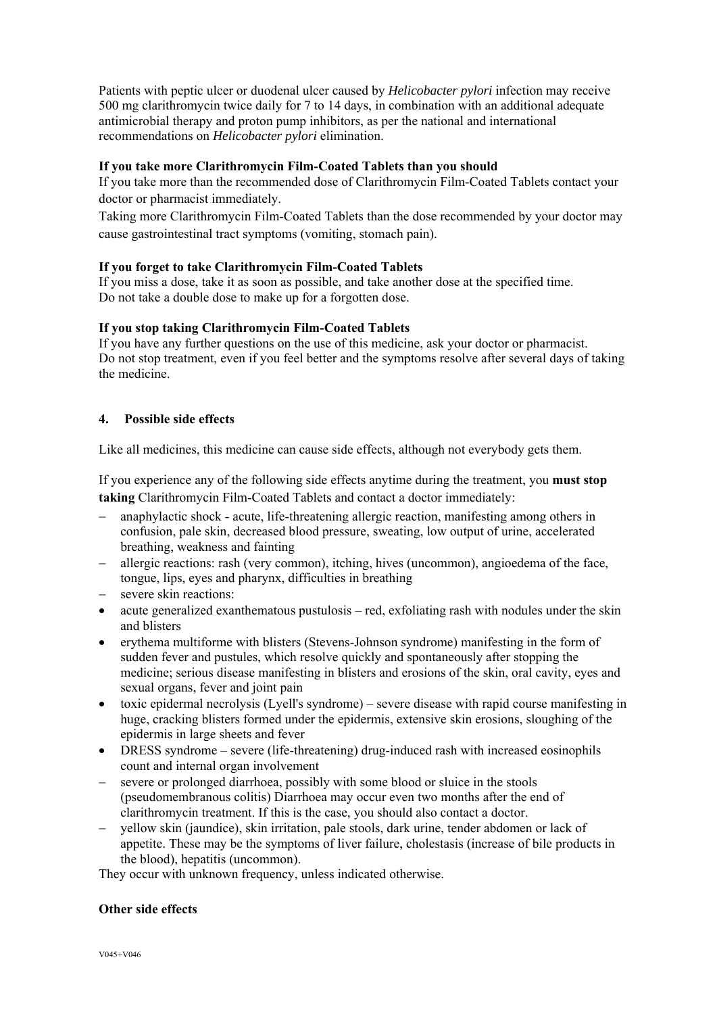Patients with peptic ulcer or duodenal ulcer caused by *Helicobacter pylori* infection may receive 500 mg clarithromycin twice daily for 7 to 14 days, in combination with an additional adequate antimicrobial therapy and proton pump inhibitors, as per the national and international recommendations on *Helicobacter pylori* elimination.

## **If you take more Clarithromycin Film-Coated Tablets than you should**

If you take more than the recommended dose of Clarithromycin Film-Coated Tablets contact your doctor or pharmacist immediately.

Taking more Clarithromycin Film-Coated Tablets than the dose recommended by your doctor may cause gastrointestinal tract symptoms (vomiting, stomach pain).

#### **If you forget to take Clarithromycin Film-Coated Tablets**

If you miss a dose, take it as soon as possible, and take another dose at the specified time. Do not take a double dose to make up for a forgotten dose.

#### **If you stop taking Clarithromycin Film-Coated Tablets**

If you have any further questions on the use of this medicine, ask your doctor or pharmacist. Do not stop treatment, even if you feel better and the symptoms resolve after several days of taking the medicine.

#### **4. Possible side effects**

Like all medicines, this medicine can cause side effects, although not everybody gets them.

If you experience any of the following side effects anytime during the treatment, you **must stop taking** Clarithromycin Film-Coated Tablets and contact a doctor immediately:

- anaphylactic shock acute, life-threatening allergic reaction, manifesting among others in confusion, pale skin, decreased blood pressure, sweating, low output of urine, accelerated breathing, weakness and fainting
- allergic reactions: rash (very common), itching, hives (uncommon), angioedema of the face, tongue, lips, eyes and pharynx, difficulties in breathing
- severe skin reactions:
- acute generalized exanthematous pustulosis red, exfoliating rash with nodules under the skin and blisters
- erythema multiforme with blisters (Stevens-Johnson syndrome) manifesting in the form of sudden fever and pustules, which resolve quickly and spontaneously after stopping the medicine; serious disease manifesting in blisters and erosions of the skin, oral cavity, eyes and sexual organs, fever and joint pain
- toxic epidermal necrolysis (Lyell's syndrome) severe disease with rapid course manifesting in huge, cracking blisters formed under the epidermis, extensive skin erosions, sloughing of the epidermis in large sheets and fever
- DRESS syndrome severe (life-threatening) drug-induced rash with increased eosinophils count and internal organ involvement
- severe or prolonged diarrhoea, possibly with some blood or sluice in the stools (pseudomembranous colitis) Diarrhoea may occur even two months after the end of clarithromycin treatment. If this is the case, you should also contact a doctor.
- vellow skin (jaundice), skin irritation, pale stools, dark urine, tender abdomen or lack of appetite. These may be the symptoms of liver failure, cholestasis (increase of bile products in the blood), hepatitis (uncommon).

They occur with unknown frequency, unless indicated otherwise.

#### **Other side effects**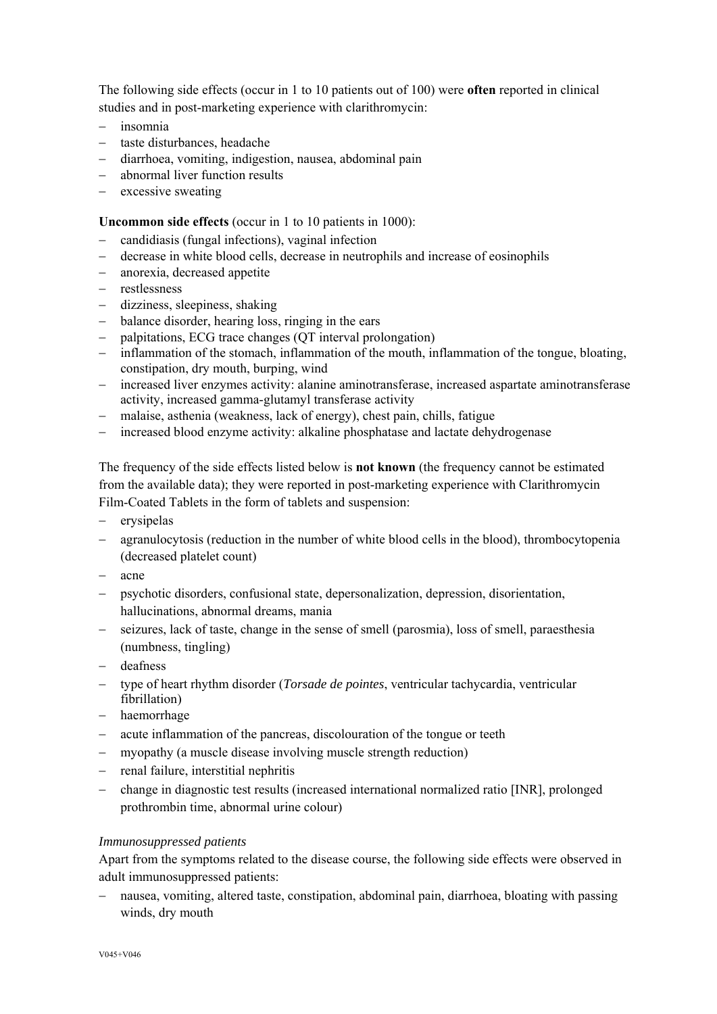The following side effects (occur in 1 to 10 patients out of 100) were **often** reported in clinical studies and in post-marketing experience with clarithromycin:

- insomnia
- taste disturbances, headache
- diarrhoea, vomiting, indigestion, nausea, abdominal pain
- abnormal liver function results
- $-$  excessive sweating

# **Uncommon side effects** (occur in 1 to 10 patients in 1000):

- candidiasis (fungal infections), vaginal infection
- decrease in white blood cells, decrease in neutrophils and increase of eosinophils
- anorexia, decreased appetite
- restlessness
- dizziness, sleepiness, shaking
- balance disorder, hearing loss, ringing in the ears
- palpitations, ECG trace changes (QT interval prolongation)
- inflammation of the stomach, inflammation of the mouth, inflammation of the tongue, bloating, constipation, dry mouth, burping, wind
- increased liver enzymes activity: alanine aminotransferase, increased aspartate aminotransferase activity, increased gamma-glutamyl transferase activity
- malaise, asthenia (weakness, lack of energy), chest pain, chills, fatigue
- increased blood enzyme activity: alkaline phosphatase and lactate dehydrogenase

The frequency of the side effects listed below is **not known** (the frequency cannot be estimated from the available data); they were reported in post-marketing experience with Clarithromycin Film-Coated Tablets in the form of tablets and suspension:

- erysipelas
- agranulocytosis (reduction in the number of white blood cells in the blood), thrombocytopenia (decreased platelet count)
- $-$  acne
- psychotic disorders, confusional state, depersonalization, depression, disorientation, hallucinations, abnormal dreams, mania
- seizures, lack of taste, change in the sense of smell (parosmia), loss of smell, paraesthesia (numbness, tingling)
- deafness
- type of heart rhythm disorder (*Torsade de pointes*, ventricular tachycardia, ventricular fibrillation)
- haemorrhage
- acute inflammation of the pancreas, discolouration of the tongue or teeth
- myopathy (a muscle disease involving muscle strength reduction)
- renal failure, interstitial nephritis
- change in diagnostic test results (increased international normalized ratio [INR], prolonged prothrombin time, abnormal urine colour)

## *Immunosuppressed patients*

Apart from the symptoms related to the disease course, the following side effects were observed in adult immunosuppressed patients:

 nausea, vomiting, altered taste, constipation, abdominal pain, diarrhoea, bloating with passing winds, dry mouth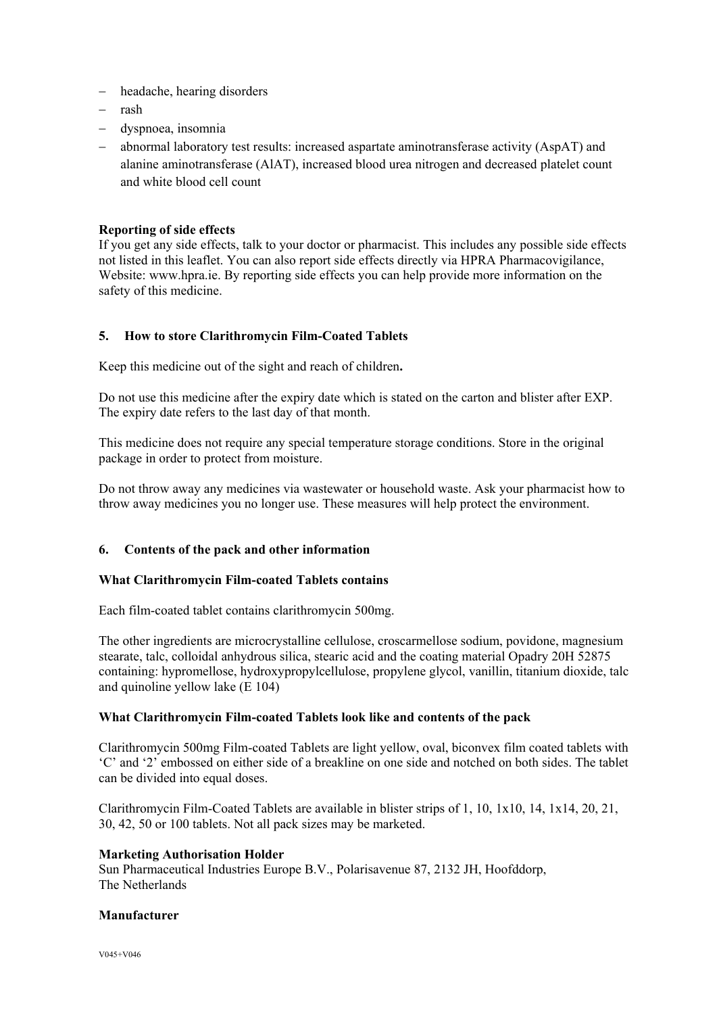- headache, hearing disorders
- $-$  rash
- dyspnoea, insomnia
- abnormal laboratory test results: increased aspartate aminotransferase activity (AspAT) and alanine aminotransferase (AlAT), increased blood urea nitrogen and decreased platelet count and white blood cell count

#### **Reporting of side effects**

If you get any side effects, talk to your doctor or pharmacist. This includes any possible side effects not listed in this leaflet. You can also report side effects directly via HPRA Pharmacovigilance, Website: www.hpra.ie. By reporting side effects you can help provide more information on the safety of this medicine.

## **5. How to store Clarithromycin Film-Coated Tablets**

Keep this medicine out of the sight and reach of children**.** 

Do not use this medicine after the expiry date which is stated on the carton and blister after EXP. The expiry date refers to the last day of that month.

This medicine does not require any special temperature storage conditions. Store in the original package in order to protect from moisture.

Do not throw away any medicines via wastewater or household waste. Ask your pharmacist how to throw away medicines you no longer use. These measures will help protect the environment.

#### **6. Contents of the pack and other information**

#### **What Clarithromycin Film-coated Tablets contains**

Each film-coated tablet contains clarithromycin 500mg.

The other ingredients are microcrystalline cellulose, croscarmellose sodium, povidone, magnesium stearate, talc, colloidal anhydrous silica, stearic acid and the coating material Opadry 20H 52875 containing: hypromellose, hydroxypropylcellulose, propylene glycol, vanillin, titanium dioxide, talc and quinoline yellow lake (E 104)

#### **What Clarithromycin Film-coated Tablets look like and contents of the pack**

Clarithromycin 500mg Film-coated Tablets are light yellow, oval, biconvex film coated tablets with 'C' and '2' embossed on either side of a breakline on one side and notched on both sides. The tablet can be divided into equal doses.

Clarithromycin Film-Coated Tablets are available in blister strips of 1, 10, 1x10, 14, 1x14, 20, 21, 30, 42, 50 or 100 tablets. Not all pack sizes may be marketed.

#### **Marketing Authorisation Holder**

Sun Pharmaceutical Industries Europe B.V., Polarisavenue 87, 2132 JH, Hoofddorp, The Netherlands

#### **Manufacturer**